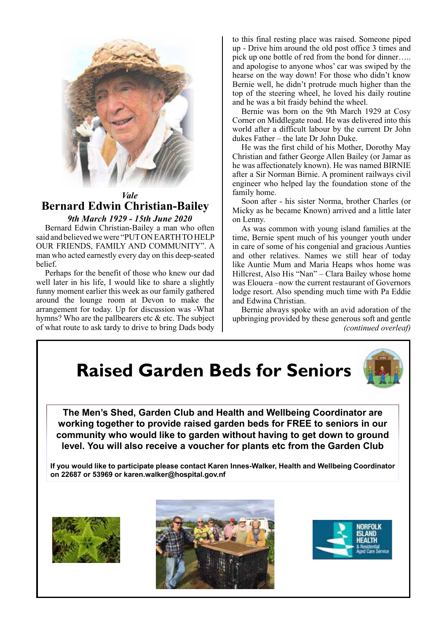

### *Vale* **Bernard Edwin Christian-Bailey** *9th March 1929 - 15th June 2020*

Bernard Edwin Christian-Bailey a man who often said and believed we were "PUT ON EARTH TO HELP OUR FRIENDS, FAMILY AND COMMUNITY". A man who acted earnestly every day on this deep-seated **belief** 

Perhaps for the benefit of those who knew our dad well later in his life, I would like to share a slightly funny moment earlier this week as our family gathered around the lounge room at Devon to make the arrangement for today. Up for discussion was -What hymns? Who are the pallbearers etc  $\&$  etc. The subject of what route to ask tardy to drive to bring Dads body to this final resting place was raised. Someone piped up - Drive him around the old post office 3 times and pick up one bottle of red from the bond for dinner….. and apologise to anyone whos' car was swiped by the hearse on the way down! For those who didn't know Bernie well, he didn't protrude much higher than the top of the steering wheel, he loved his daily routine and he was a bit fraidy behind the wheel.

Bernie was born on the 9th March 1929 at Cosy Corner on Middlegate road. He was delivered into this world after a difficult labour by the current Dr John dukes Father – the late Dr John Duke.

He was the first child of his Mother, Dorothy May Christian and father George Allen Bailey (or Jamar as he was affectionately known). He was named BIRNIE after a Sir Norman Birnie. A prominent railways civil engineer who helped lay the foundation stone of the family home.

Soon after - his sister Norma, brother Charles (or Micky as he became Known) arrived and a little later on Lenny.

As was common with young island families at the time, Bernie spent much of his younger youth under in care of some of his congenial and gracious Aunties and other relatives. Names we still hear of today like Auntie Mum and Maria Heaps whos home was Hillcrest, Also His "Nan" – Clara Bailey whose home was Elouera –now the current restaurant of Governors lodge resort. Also spending much time with Pa Eddie and Edwina Christian.

Bernie always spoke with an avid adoration of the upbringing provided by these generous soft and gentle *(continued overleaf)*

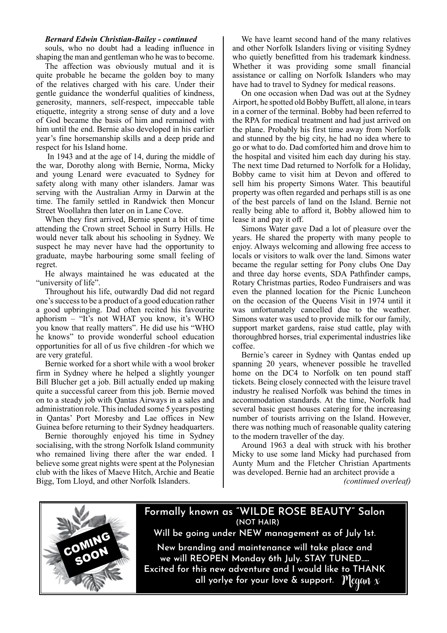### *Bernard Edwin Christian-Bailey - continued*

souls, who no doubt had a leading influence in shaping the man and gentleman who he was to become.

The affection was obviously mutual and it is quite probable he became the golden boy to many of the relatives charged with his care. Under their gentle guidance the wonderful qualities of kindness, generosity, manners, self-respect, impeccable table etiquette, integrity a strong sense of duty and a love of God became the basis of him and remained with him until the end. Bernie also developed in his earlier year's fine horsemanship skills and a deep pride and respect for his Island home.

 In 1943 and at the age of 14, during the middle of the war, Dorothy along with Bernie, Norma, Micky and young Lenard were evacuated to Sydney for safety along with many other islanders. Jamar was serving with the Australian Army in Darwin at the time. The family settled in Randwick then Moncur Street Woollahra then later on in Lane Cove.

When they first arrived, Bernie spent a bit of time attending the Crown street School in Surry Hills. He would never talk about his schooling in Sydney. We suspect he may never have had the opportunity to graduate, maybe harbouring some small feeling of regret.

He always maintained he was educated at the "university of life".

Throughout his life, outwardly Dad did not regard one's success to be a product of a good education rather a good upbringing. Dad often recited his favourite aphorism – "It's not WHAT you know, it's WHO you know that really matters". He did use his "WHO he knows" to provide wonderful school education opportunities for all of us five children -for which we are very grateful.

Bernie worked for a short while with a wool broker firm in Sydney where he helped a slightly younger Bill Blucher get a job. Bill actually ended up making quite a successful career from this job. Bernie moved on to a steady job with Qantas Airways in a sales and administration role. This included some 5 years posting in Qantas' Port Moresby and Lae offices in New Guinea before returning to their Sydney headquarters.

Bernie thoroughly enjoyed his time in Sydney socialising, with the strong Norfolk Island community who remained living there after the war ended. I believe some great nights were spent at the Polynesian club with the likes of Maeve Hitch, Archie and Beatie Bigg, Tom Lloyd, and other Norfolk Islanders.

We have learnt second hand of the many relatives and other Norfolk Islanders living or visiting Sydney who quietly benefitted from his trademark kindness. Whether it was providing some small financial assistance or calling on Norfolk Islanders who may have had to travel to Sydney for medical reasons.

On one occasion when Dad was out at the Sydney Airport, he spotted old Bobby Buffett, all alone, in tears in a corner of the terminal. Bobby had been referred to the RPA for medical treatment and had just arrived on the plane. Probably his first time away from Norfolk and stunned by the big city, he had no idea where to go or what to do. Dad comforted him and drove him to the hospital and visited him each day during his stay. The next time Dad returned to Norfolk for a Holiday, Bobby came to visit him at Devon and offered to sell him his property Simons Water. This beautiful property was often regarded and perhaps still is as one of the best parcels of land on the Island. Bernie not really being able to afford it, Bobby allowed him to lease it and pay it off.

Simons Water gave Dad a lot of pleasure over the years. He shared the property with many people to enjoy. Always welcoming and allowing free access to locals or visitors to walk over the land. Simons water became the regular setting for Pony clubs One Day and three day horse events, SDA Pathfinder camps, Rotary Christmas parties, Rodeo Fundraisers and was even the planned location for the Picnic Luncheon on the occasion of the Queens Visit in 1974 until it was unfortunately cancelled due to the weather. Simons water was used to provide milk for our family, support market gardens, raise stud cattle, play with thoroughbred horses, trial experimental industries like coffee.

Bernie's career in Sydney with Qantas ended up spanning 20 years, whenever possible he travelled home on the DC4 to Norfolk on ten pound staff tickets. Being closely connected with the leisure travel industry he realised Norfolk was behind the times in accommodation standards. At the time, Norfolk had several basic guest houses catering for the increasing number of tourists arriving on the Island. However, there was nothing much of reasonable quality catering to the modern traveller of the day.

Around 1963 a deal with struck with his brother Micky to use some land Micky had purchased from Aunty Mum and the Fletcher Christian Apartments was developed. Bernie had an architect provide a

*(continued overleaf)*



# **Formally known as "WILDE ROSE BEAUTY" Salon Will be going under NEW management as of July 1st. (NOT HAIR)**

**New branding and maintenance will take place and we will REOPEN Monday 6th July. STAY TUNED..... Excited for this new adventure and I would like to THANK all yorlye for your love & support.** Megan x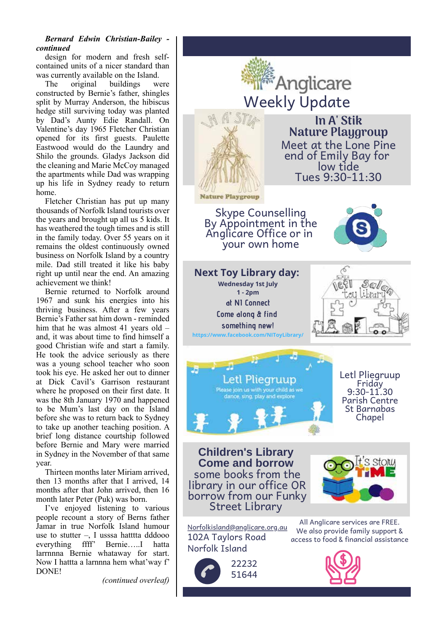### *Bernard Edwin Christian-Bailey continued*

design for modern and fresh selfcontained units of a nicer standard than was currently available on the Island.

The original buildings were constructed by Bernie's father, shingles split by Murray Anderson, the hibiscus hedge still surviving today was planted by Dad's Aunty Edie Randall. On Valentine's day 1965 Fletcher Christian opened for its first guests. Paulette Eastwood would do the Laundry and Shilo the grounds. Gladys Jackson did the cleaning and Marie McCoy managed the apartments while Dad was wrapping up his life in Sydney ready to return home.

Fletcher Christian has put up many thousands of Norfolk Island tourists over the years and brought up all us 5 kids. It has weathered the tough times and is still in the family today. Over 55 years on it remains the oldest continuously owned business on Norfolk Island by a country mile. Dad still treated it like his baby right up until near the end. An amazing achievement we think!

Bernie returned to Norfolk around 1967 and sunk his energies into his thriving business. After a few years Bernie's Father sat him down - reminded him that he was almost 41 years old – and, it was about time to find himself a good Christian wife and start a family. He took the advice seriously as there was a young school teacher who soon took his eye. He asked her out to dinner at Dick Cavil's Garrison restaurant where he proposed on their first date. It was the 8th January 1970 and happened to be Mum's last day on the Island before she was to return back to Sydney to take up another teaching position. A brief long distance courtship followed before Bernie and Mary were married in Sydney in the November of that same year.

Thirteen months later Miriam arrived, then 13 months after that I arrived, 14 months after that John arrived, then 16 month later Peter (Puk) was born.

I've enjoyed listening to various people recount a story of Berns father Jamar in true Norfolk Island humour use to stutter  $-$ , I usssa hattta dddooo everything ffff' Bernie…..I hatta larrnnna Bernie whataway for start. Now I hattta a larnnna hem what'way f' DONE!

*(continued overleaf)*

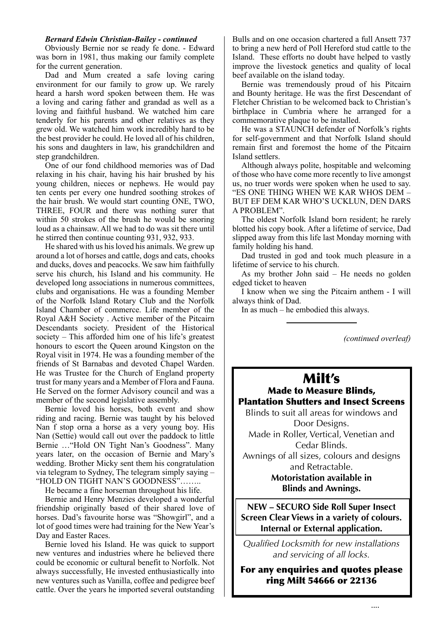### *Bernard Edwin Christian-Bailey - continued*

Obviously Bernie nor se ready fe done. - Edward was born in 1981, thus making our family complete for the current generation.

Dad and Mum created a safe loving caring environment for our family to grow up. We rarely heard a harsh word spoken between them. He was a loving and caring father and grandad as well as a loving and faithful husband. We watched him care tenderly for his parents and other relatives as they grew old. We watched him work incredibly hard to be the best provider he could. He loved all of his children, his sons and daughters in law, his grandchildren and step grandchildren.

One of our fond childhood memories was of Dad relaxing in his chair, having his hair brushed by his young children, nieces or nephews. He would pay ten cents per every one hundred soothing strokes of the hair brush. We would start counting ONE, TWO, THREE, FOUR and there was nothing surer that within 50 strokes of the brush he would be snoring loud as a chainsaw. All we had to do was sit there until he stirred then continue counting 931, 932, 933.

He shared with us his loved his animals. We grew up around a lot of horses and cattle, dogs and cats, chooks and ducks, doves and peacocks. We saw him faithfully serve his church, his Island and his community. He developed long associations in numerous committees, clubs and organisations. He was a founding Member of the Norfolk Island Rotary Club and the Norfolk Island Chamber of commerce. Life member of the Royal A&H Society . Active member of the Pitcairn Descendants society. President of the Historical society – This afforded him one of his life's greatest honours to escort the Queen around Kingston on the Royal visit in 1974. He was a founding member of the friends of St Barnabas and devoted Chapel Warden. He was Trustee for the Church of England property trust for many years and a Member of Flora and Fauna. He Served on the former Advisory council and was a member of the second legislative assembly.

Bernie loved his horses, both event and show riding and racing. Bernie was taught by his beloved Nan f stop orna a horse as a very young boy. His Nan (Settie) would call out over the paddock to little Bernie …"Hold ON Tight Nan's Goodness". Many years later, on the occasion of Bernie and Mary's wedding. Brother Micky sent them his congratulation via telegram to Sydney, The telegram simply saying – "HOLD ON TIGHT NAN'S GOODNESS"……..

He became a fine horseman throughout his life.

Bernie and Henry Menzies developed a wonderful friendship originally based of their shared love of horses. Dad's favourite horse was "Showgirl", and a lot of good times were had training for the New Year's Day and Easter Races.

Bernie loved his Island. He was quick to support new ventures and industries where he believed there could be economic or cultural benefit to Norfolk. Not always successfully, He invested enthusiastically into new ventures such as Vanilla, coffee and pedigree beef cattle. Over the years he imported several outstanding Bulls and on one occasion chartered a full Ansett 737 to bring a new herd of Poll Hereford stud cattle to the Island. These efforts no doubt have helped to vastly improve the livestock genetics and quality of local beef available on the island today.

Bernie was tremendously proud of his Pitcairn and Bounty heritage. He was the first Descendant of Fletcher Christian to be welcomed back to Christian's birthplace in Cumbria where he arranged for a commemorative plaque to be installed.

He was a STAUNCH defender of Norfolk's rights for self-government and that Norfolk Island should remain first and foremost the home of the Pitcairn Island settlers.

Although always polite, hospitable and welcoming of those who have come more recently to live amongst us, no truer words were spoken when he used to say. "ES ONE THING WHEN WE KAR WHOS DEM – BUT EF DEM KAR WHO'S UCKLUN, DEN DARS A PROBLEM".

The oldest Norfolk Island born resident; he rarely blotted his copy book. After a lifetime of service, Dad slipped away from this life last Monday morning with family holding his hand.

Dad trusted in god and took much pleasure in a lifetime of service to his church.

As my brother John said – He needs no golden edged ticket to heaven

I know when we sing the Pitcairn anthem - I will always think of Dad.

In as much – he embodied this always.

*(continued overleaf)*

# Milt's

Made to Measure Blinds, Plantation Shutters and Insect Screens

Blinds to suit all areas for windows and Door Designs. Made in Roller, Vertical, Venetian and Cedar Blinds. Awnings of all sizes, colours and designs and Retractable. **Motoristation available in Blinds and Awnings.**

**NEW – SECURO Side Roll Super Insect Screen Clear Views in a variety of colours. Internal or External application.**

*Qualified Locksmith for new installations and servicing of all locks.*

For any enquiries and quotes please ring Milt 54666 or 22136